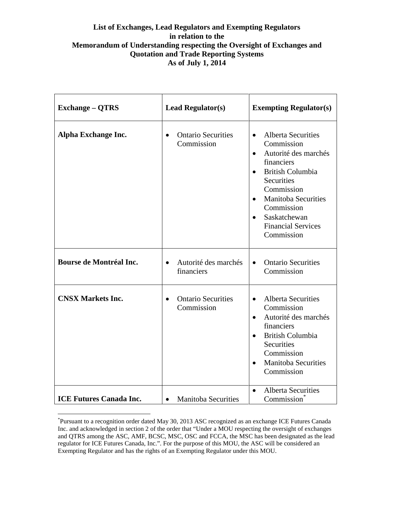## **List of Exchanges, Lead Regulators and Exempting Regulators in relation to the Memorandum of Understanding respecting the Oversight of Exchanges and Quotation and Trade Reporting Systems As of July 1, 2014**

| <b>Exchange – QTRS</b>         | <b>Lead Regulator(s)</b>                             | <b>Exempting Regulator(s)</b>                                                                                                                                                                                                                                                                                       |
|--------------------------------|------------------------------------------------------|---------------------------------------------------------------------------------------------------------------------------------------------------------------------------------------------------------------------------------------------------------------------------------------------------------------------|
| Alpha Exchange Inc.            | <b>Ontario Securities</b><br>Commission              | <b>Alberta Securities</b><br>$\bullet$<br>Commission<br>Autorité des marchés<br>$\bullet$<br>financiers<br><b>British Columbia</b><br>$\bullet$<br><b>Securities</b><br>Commission<br><b>Manitoba Securities</b><br>$\bullet$<br>Commission<br>Saskatchewan<br>$\bullet$<br><b>Financial Services</b><br>Commission |
| <b>Bourse de Montréal Inc.</b> | Autorité des marchés<br>$\bullet$<br>financiers      | <b>Ontario Securities</b><br>$\bullet$<br>Commission                                                                                                                                                                                                                                                                |
| <b>CNSX Markets Inc.</b>       | <b>Ontario Securities</b><br>$\bullet$<br>Commission | <b>Alberta Securities</b><br>$\bullet$<br>Commission<br>Autorité des marchés<br>$\bullet$<br>financiers<br><b>British Columbia</b><br>$\bullet$<br>Securities<br>Commission<br><b>Manitoba Securities</b><br>$\bullet$<br>Commission                                                                                |
| <b>ICE Futures Canada Inc.</b> | <b>Manitoba Securities</b><br>$\bullet$              | <b>Alberta Securities</b><br>$\bullet$<br>Commission                                                                                                                                                                                                                                                                |

<span id="page-0-0"></span> <sup>\*</sup> Pursuant to a recognition order dated May 30, 2013 ASC recognized as an exchange ICE Futures Canada Inc. and acknowledged in section 2 of the order that "Under a MOU respecting the oversight of exchanges and QTRS among the ASC, AMF, BCSC, MSC, OSC and FCCA, the MSC has been designated as the lead regulator for ICE Futures Canada, Inc.". For the purpose of this MOU, the ASC will be considered an Exempting Regulator and has the rights of an Exempting Regulator under this MOU.